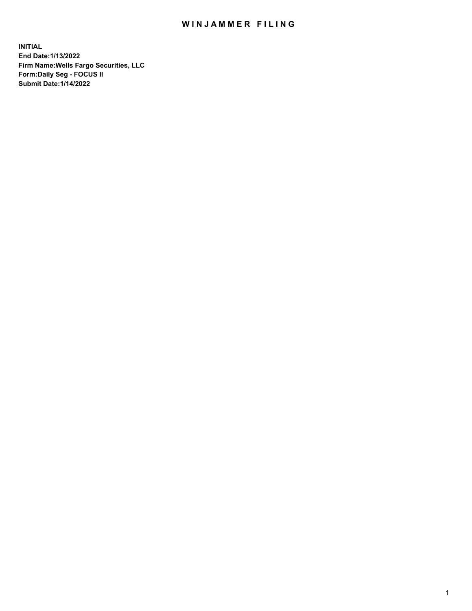## WIN JAMMER FILING

**INITIAL End Date:1/13/2022 Firm Name:Wells Fargo Securities, LLC Form:Daily Seg - FOCUS II Submit Date:1/14/2022**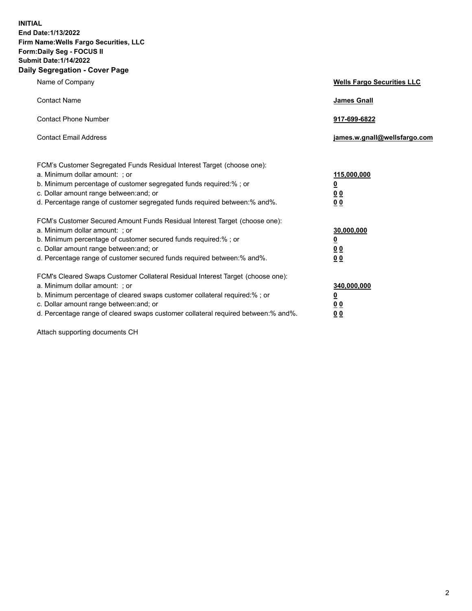**INITIAL End Date:1/13/2022 Firm Name:Wells Fargo Securities, LLC Form:Daily Seg - FOCUS II Submit Date:1/14/2022 Daily Segregation - Cover Page**

| Name of Company                                                                                                                                                                                                                                                                                                                | <b>Wells Fargo Securities LLC</b>                          |
|--------------------------------------------------------------------------------------------------------------------------------------------------------------------------------------------------------------------------------------------------------------------------------------------------------------------------------|------------------------------------------------------------|
| <b>Contact Name</b>                                                                                                                                                                                                                                                                                                            | <b>James Gnall</b>                                         |
| <b>Contact Phone Number</b>                                                                                                                                                                                                                                                                                                    | 917-699-6822                                               |
| <b>Contact Email Address</b>                                                                                                                                                                                                                                                                                                   | james.w.gnall@wellsfargo.com                               |
| FCM's Customer Segregated Funds Residual Interest Target (choose one):<br>a. Minimum dollar amount: ; or<br>b. Minimum percentage of customer segregated funds required:% ; or<br>c. Dollar amount range between: and; or<br>d. Percentage range of customer segregated funds required between:% and%.                         | 115,000,000<br><u>0</u><br>0 <sub>0</sub><br>00            |
| FCM's Customer Secured Amount Funds Residual Interest Target (choose one):<br>a. Minimum dollar amount: ; or<br>b. Minimum percentage of customer secured funds required:%; or<br>c. Dollar amount range between: and; or<br>d. Percentage range of customer secured funds required between:% and%.                            | 30,000,000<br><u>0</u><br>0 <sub>0</sub><br>0 <sub>0</sub> |
| FCM's Cleared Swaps Customer Collateral Residual Interest Target (choose one):<br>a. Minimum dollar amount: ; or<br>b. Minimum percentage of cleared swaps customer collateral required:% ; or<br>c. Dollar amount range between: and; or<br>d. Percentage range of cleared swaps customer collateral required between:% and%. | 340,000,000<br><u>0</u><br>00<br>00                        |

Attach supporting documents CH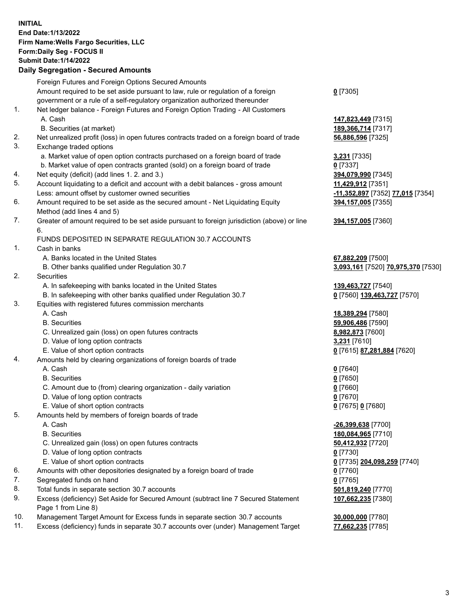**INITIAL End Date:1/13/2022 Firm Name:Wells Fargo Securities, LLC Form:Daily Seg - FOCUS II Submit Date:1/14/2022**

## **Daily Segregation - Secured Amounts**

|                | Foreign Futures and Foreign Options Secured Amounts                                         |                                    |
|----------------|---------------------------------------------------------------------------------------------|------------------------------------|
|                | Amount required to be set aside pursuant to law, rule or regulation of a foreign            | $0$ [7305]                         |
|                | government or a rule of a self-regulatory organization authorized thereunder                |                                    |
| $\mathbf{1}$ . | Net ledger balance - Foreign Futures and Foreign Option Trading - All Customers             |                                    |
|                | A. Cash                                                                                     | 147,823,449 [7315]                 |
|                | B. Securities (at market)                                                                   | 189, 366, 714 [7317]               |
| 2.             | Net unrealized profit (loss) in open futures contracts traded on a foreign board of trade   | 56,886,596 [7325]                  |
| 3.             | Exchange traded options                                                                     |                                    |
|                | a. Market value of open option contracts purchased on a foreign board of trade              | 3,231 [7335]                       |
|                | b. Market value of open contracts granted (sold) on a foreign board of trade                | $0$ [7337]                         |
| 4.             | Net equity (deficit) (add lines 1. 2. and 3.)                                               | 394,079,990 [7345]                 |
| 5.             | Account liquidating to a deficit and account with a debit balances - gross amount           | 11,429,912 [7351]                  |
|                | Less: amount offset by customer owned securities                                            | -11,352,897 [7352] 77,015 [7354]   |
| 6.             | Amount required to be set aside as the secured amount - Net Liquidating Equity              | 394,157,005 [7355]                 |
|                | Method (add lines 4 and 5)                                                                  |                                    |
| 7.             | Greater of amount required to be set aside pursuant to foreign jurisdiction (above) or line | 394,157,005 [7360]                 |
|                | 6.                                                                                          |                                    |
|                | FUNDS DEPOSITED IN SEPARATE REGULATION 30.7 ACCOUNTS                                        |                                    |
| 1.             | Cash in banks                                                                               |                                    |
|                | A. Banks located in the United States                                                       | 67,882,209 [7500]                  |
|                | B. Other banks qualified under Regulation 30.7                                              | 3,093,161 [7520] 70,975,370 [7530] |
| 2.             | <b>Securities</b>                                                                           |                                    |
|                | A. In safekeeping with banks located in the United States                                   | 139,463,727 [7540]                 |
|                | B. In safekeeping with other banks qualified under Regulation 30.7                          | 0 [7560] 139,463,727 [7570]        |
| 3.             | Equities with registered futures commission merchants                                       |                                    |
|                | A. Cash                                                                                     | 18,389,294 [7580]                  |
|                | <b>B.</b> Securities                                                                        | 59,906,486 [7590]                  |
|                | C. Unrealized gain (loss) on open futures contracts                                         | 8,982,873 [7600]                   |
|                | D. Value of long option contracts                                                           | 3,231 [7610]                       |
|                | E. Value of short option contracts                                                          | 0 [7615] 87,281,884 [7620]         |
| 4.             | Amounts held by clearing organizations of foreign boards of trade                           |                                    |
|                | A. Cash                                                                                     | $0$ [7640]                         |
|                | <b>B.</b> Securities                                                                        | $0$ [7650]                         |
|                | C. Amount due to (from) clearing organization - daily variation                             | $0$ [7660]                         |
|                | D. Value of long option contracts                                                           | $0$ [7670]                         |
|                | E. Value of short option contracts                                                          | 0 [7675] 0 [7680]                  |
| 5.             | Amounts held by members of foreign boards of trade                                          |                                    |
|                | A. Cash                                                                                     | -26,399,638 [7700]                 |
|                | <b>B.</b> Securities                                                                        | 180,084,965 [7710]                 |
|                | C. Unrealized gain (loss) on open futures contracts                                         | 50,412,932 [7720]                  |
|                | D. Value of long option contracts                                                           | $0$ [7730]                         |
|                | E. Value of short option contracts                                                          | 0 [7735] 204,098,259 [7740]        |
| 6.             | Amounts with other depositories designated by a foreign board of trade                      | $0$ [7760]                         |
| 7.             | Segregated funds on hand                                                                    | $0$ [7765]                         |
| 8.             | Total funds in separate section 30.7 accounts                                               | 501,819,240 [7770]                 |
| 9.             | Excess (deficiency) Set Aside for Secured Amount (subtract line 7 Secured Statement         | 107,662,235 [7380]                 |
|                | Page 1 from Line 8)                                                                         |                                    |
| 10.            | Management Target Amount for Excess funds in separate section 30.7 accounts                 | 30,000,000 [7780]                  |
| 11.            | Excess (deficiency) funds in separate 30.7 accounts over (under) Management Target          | 77,662,235 [7785]                  |

3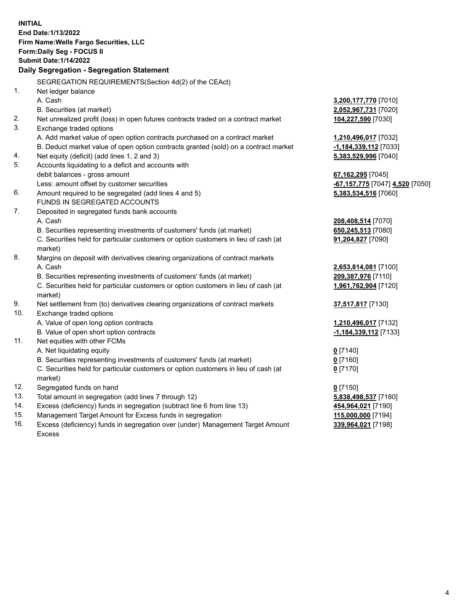**INITIAL End Date:1/13/2022 Firm Name:Wells Fargo Securities, LLC Form:Daily Seg - FOCUS II Submit Date:1/14/2022 Daily Segregation - Segregation Statement** SEGREGATION REQUIREMENTS(Section 4d(2) of the CEAct) 1. Net ledger balance A. Cash **3,200,177,770** [7010] B. Securities (at market) **2,052,967,731** [7020] 2. Net unrealized profit (loss) in open futures contracts traded on a contract market **104,227,590** [7030] 3. Exchange traded options A. Add market value of open option contracts purchased on a contract market **1,210,496,017** [7032] B. Deduct market value of open option contracts granted (sold) on a contract market **-1,184,339,112** [7033] 4. Net equity (deficit) (add lines 1, 2 and 3) **5,383,529,996** [7040] 5. Accounts liquidating to a deficit and accounts with debit balances - gross amount **67,162,295** [7045] Less: amount offset by customer securities **-67,157,775** [7047] **4,520** [7050] 6. Amount required to be segregated (add lines 4 and 5) **5,383,534,516** [7060] FUNDS IN SEGREGATED ACCOUNTS 7. Deposited in segregated funds bank accounts A. Cash **208,408,514** [7070] B. Securities representing investments of customers' funds (at market) **650,245,513** [7080] C. Securities held for particular customers or option customers in lieu of cash (at market) **91,204,827** [7090] 8. Margins on deposit with derivatives clearing organizations of contract markets A. Cash **2,653,814,081** [7100] B. Securities representing investments of customers' funds (at market) **209,387,976** [7110] C. Securities held for particular customers or option customers in lieu of cash (at market) **1,961,762,904** [7120] 9. Net settlement from (to) derivatives clearing organizations of contract markets **37,517,817** [7130] 10. Exchange traded options A. Value of open long option contracts **1,210,496,017** [7132] B. Value of open short option contracts **-1,184,339,112** [7133] 11. Net equities with other FCMs A. Net liquidating equity **0** [7140] B. Securities representing investments of customers' funds (at market) **0** [7160] C. Securities held for particular customers or option customers in lieu of cash (at market) **0** [7170] 12. Segregated funds on hand **0** [7150] 13. Total amount in segregation (add lines 7 through 12) **5,838,498,537** [7180] 14. Excess (deficiency) funds in segregation (subtract line 6 from line 13) **454,964,021** [7190] 15. Management Target Amount for Excess funds in segregation **115,000,000** [7194] **339,964,021** [7198]

16. Excess (deficiency) funds in segregation over (under) Management Target Amount Excess